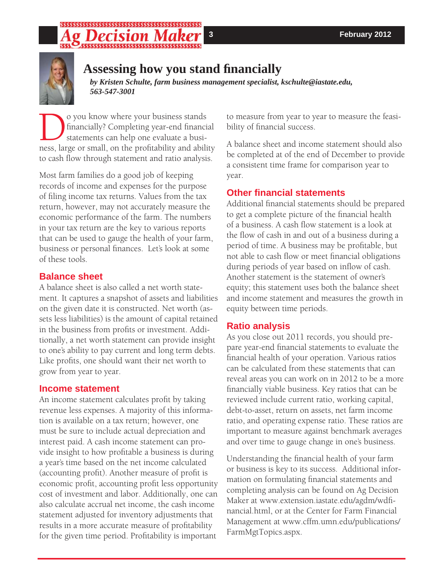# \$\$\$\$\$\$\$\$\$\$\$\$\$\$\$\$\$\$\$\$\$\$\$\$\$\$



## **Assessing how you stand fi nancially**

*by Kristen Schulte, farm business management specialist, kschulte@iastate.edu, 563-547-3001*

**D**o you know where your business stands financially? Completing year-end financial statements can help one evaluate a business, large or small, on the profitability and ability financially? Completing year-end financial statements can help one evaluate a busito cash flow through statement and ratio analysis.

Most farm families do a good job of keeping records of income and expenses for the purpose of filing income tax returns. Values from the tax return, however, may not accurately measure the economic performance of the farm. The numbers in your tax return are the key to various reports that can be used to gauge the health of your farm, business or personal finances. Let's look at some of these tools.

## **Balance sheet**

A balance sheet is also called a net worth statement. It captures a snapshot of assets and liabilities on the given date it is constructed. Net worth (assets less liabilities) is the amount of capital retained in the business from profits or investment. Additionally, a net worth statement can provide insight to one's ability to pay current and long term debts. Like profits, one should want their net worth to grow from year to year.

#### **Income statement**

An income statement calculates profit by taking revenue less expenses. A majority of this information is available on a tax return; however, one must be sure to include actual depreciation and interest paid. A cash income statement can provide insight to how profitable a business is during a year's time based on the net income calculated (accounting profit). Another measure of profit is economic profit, accounting profit less opportunity cost of investment and labor. Additionally, one can also calculate accrual net income, the cash income statement adjusted for inventory adjustments that results in a more accurate measure of profitability for the given time period. Profitability is important

to measure from year to year to measure the feasibility of financial success.

A balance sheet and income statement should also be completed at of the end of December to provide a consistent time frame for comparison year to year.

## **Other fi nancial statements**

Additional financial statements should be prepared to get a complete picture of the financial health of a business. A cash flow statement is a look at the flow of cash in and out of a business during a period of time. A business may be profitable, but not able to cash flow or meet financial obligations during periods of year based on inflow of cash. Another statement is the statement of owner's equity; this statement uses both the balance sheet and income statement and measures the growth in equity between time periods.

## **Ratio analysis**

As you close out 2011 records, you should prepare year-end financial statements to evaluate the financial health of your operation. Various ratios can be calculated from these statements that can reveal areas you can work on in 2012 to be a more financially viable business. Key ratios that can be reviewed include current ratio, working capital, debt-to-asset, return on assets, net farm income ratio, and operating expense ratio. These ratios are important to measure against benchmark averages and over time to gauge change in one's business.

Understanding the financial health of your farm or business is key to its success. Additional information on formulating financial statements and completing analysis can be found on Ag Decision Maker at www.extension.iastate.edu/agdm/wdfinancial.html, or at the Center for Farm Financial Management at www.cffm.umn.edu/publications/ FarmMgtTopics.aspx.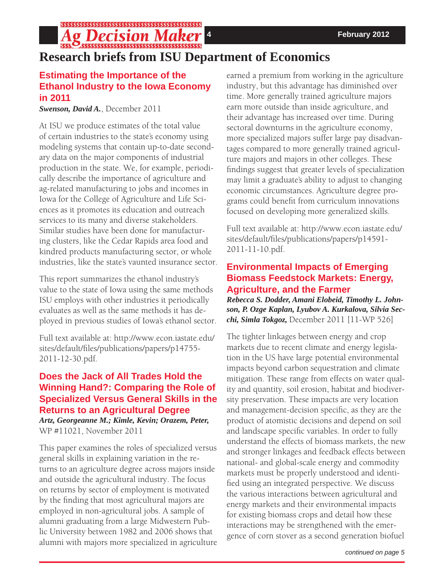#### ecision N **Research briefs from ISU Department of Economics**

## **Estimating the Importance of the Ethanol Industry to the Iowa Economy in 2011**

#### *Swenson, David A.*, December 2011

At ISU we produce estimates of the total value of certain industries to the state's economy using modeling systems that contain up-to-date secondary data on the major components of industrial production in the state. We, for example, periodically describe the importance of agriculture and ag-related manufacturing to jobs and incomes in Iowa for the College of Agriculture and Life Sciences as it promotes its education and outreach services to its many and diverse stakeholders. Similar studies have been done for manufacturing clusters, like the Cedar Rapids area food and kindred products manufacturing sector, or whole industries, like the state's vaunted insurance sector.

This report summarizes the ethanol industry's value to the state of Iowa using the same methods ISU employs with other industries it periodically evaluates as well as the same methods it has deployed in previous studies of Iowa's ethanol sector.

Full text available at: http://www.econ.iastate.edu/ sites/default/files/publications/papers/p14755-2011-12-30.pdf.

#### **Does the Jack of All Trades Hold the Winning Hand?: Comparing the Role of Specialized Versus General Skills in the Returns to an Agricultural Degree** *Artz, Georgeanne M.; Kimle, Kevin; Orazem, Peter,*  WP #11021, November 2011

This paper examines the roles of specialized versus general skills in explaining variation in the returns to an agriculture degree across majors inside and outside the agricultural industry. The focus on returns by sector of employment is motivated by the finding that most agricultural majors are employed in non-agricultural jobs. A sample of alumni graduating from a large Midwestern Public University between 1982 and 2006 shows that alumni with majors more specialized in agriculture

earned a premium from working in the agriculture industry, but this advantage has diminished over time. More generally trained agriculture majors earn more outside than inside agriculture, and their advantage has increased over time. During sectoral downturns in the agriculture economy, more specialized majors suffer large pay disadvantages compared to more generally trained agriculture majors and majors in other colleges. These findings suggest that greater levels of specialization may limit a graduate's ability to adjust to changing economic circumstances. Agriculture degree programs could benefit from curriculum innovations focused on developing more generalized skills.

Full text available at: http://www.econ.iastate.edu/ sites/default/files/publications/papers/p14591-2011-11-10.pdf.

## **Environmental Impacts of Emerging Biomass Feedstock Markets: Energy, Agriculture, and the Farmer**

*Rebecca S. Dodder, Amani Elobeid, Timothy L. Johnson, P. Ozge Kaplan, Lyubov A. Kurkalova, Silvia Secchi, Simla Tokgoz,* December 2011 [11-WP 526]

The tighter linkages between energy and crop markets due to recent climate and energy legislation in the US have large potential environmental impacts beyond carbon sequestration and climate mitigation. These range from effects on water quality and quantity, soil erosion, habitat and biodiversity preservation. These impacts are very location and management-decision specific, as they are the product of atomistic decisions and depend on soil and landscape specific variables. In order to fully understand the effects of biomass markets, the new and stronger linkages and feedback effects between national- and global-scale energy and commodity markets must be properly understood and identified using an integrated perspective. We discuss the various interactions between agricultural and energy markets and their environmental impacts for existing biomass crops and detail how these interactions may be strengthened with the emergence of corn stover as a second generation biofuel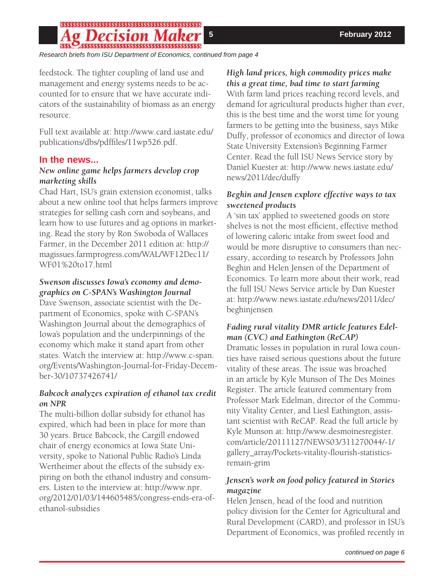# 

*Research briefs from ISU Department of Economics, continued from page 4*

feedstock. The tighter coupling of land use and management and energy systems needs to be accounted for to ensure that we have accurate indicators of the sustainability of biomass as an energy resource.

Full text available at: http://www.card.iastate.edu/ publications/dbs/pdffiles/11wp526.pdf.

#### **In the news...**

#### *New online game helps farmers develop crop marketing skills*

Chad Hart, ISU's grain extension economist, talks about a new online tool that helps farmers improve strategies for selling cash corn and soybeans, and learn how to use futures and ag options in marketing. Read the story by Ron Swoboda of Wallaces Farmer, in the December 2011 edition at: http:// magissues.farmprogress.com/WAL/WF12Dec11/ WF01%20to17.html

#### *Swenson discusses Iowa's economy and demographics on C-SPAN's Washington Journal*

Dave Swenson, associate scientist with the Department of Economics, spoke with C-SPAN's Washington Journal about the demographics of Iowa's population and the underpinnings of the economy which make it stand apart from other states. Watch the interview at: http://www.c-span. org/Events/Washington-Journal-for-Friday-December-30/10737426741/

#### *Babcock analyzes expiration of ethanol tax credit on NPR*

The multi-billion dollar subsidy for ethanol has expired, which had been in place for more than 30 years. Bruce Babcock, the Cargill endowed chair of energy economics at Iowa State University, spoke to National Public Radio's Linda Wertheimer about the effects of the subsidy expiring on both the ethanol industry and consumers. Listen to the interview at: http://www.npr. org/2012/01/03/144605485/congress-ends-era-ofethanol-subsidies

## *High land prices, high commodity prices make this a great time, bad time to start farming*

With farm land prices reaching record levels, and demand for agricultural products higher than ever, this is the best time and the worst time for young farmers to be getting into the business, says Mike Duffy, professor of economics and director of Iowa State University Extension's Beginning Farmer Center. Read the full ISU News Service story by Daniel Kuester at: http://www.news.iastate.edu/ news/2011/dec/duffy

#### *Beghin and Jensen explore effective ways to tax sweetened products*

A 'sin tax' applied to sweetened goods on store shelves is not the most efficient, effective method of lowering caloric intake from sweet food and would be more disruptive to consumers than necessary, according to research by Professors John Beghin and Helen Jensen of the Department of Economics. To learn more about their work, read the full ISU News Service article by Dan Kuester at: http://www.news.iastate.edu/news/2011/dec/ beghinjensen

## *Fading rural vitality DMR article features Edelman (CVC) and Eathington (ReCAP)*

Dramatic losses in population in rural Iowa counties have raised serious questions about the future vitality of these areas. The issue was broached in an article by Kyle Munson of The Des Moines Register. The article featured commentary from Professor Mark Edelman, director of the Community Vitality Center, and Liesl Eathington, assistant scientist with ReCAP. Read the full article by Kyle Munson at: http://www.desmoinesregister. com/article/20111127/NEWS03/311270044/-1/ gallery\_array/Pockets-vitality-flourish-statisticsremain-grim

#### *Jensen's work on food policy featured in Stories magazine*

Helen Jensen, head of the food and nutrition policy division for the Center for Agricultural and Rural Development (CARD), and professor in ISU's Department of Economics, was profiled recently in